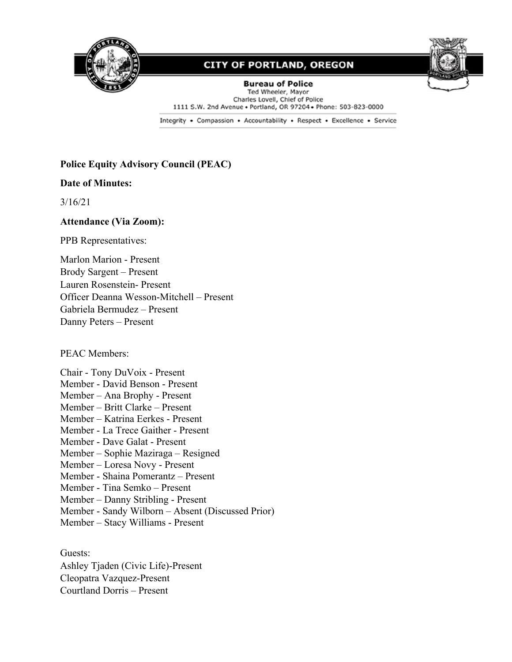

# **CITY OF PORTLAND, OREGON**



**Bureau of Police** Ted Wheeler, Mayor Charles Lovell, Chief of Police 1111 S.W. 2nd Avenue . Portland, OR 97204 . Phone: 503-823-0000

Integrity . Compassion . Accountability . Respect . Excellence . Service

### **Police Equity Advisory Council (PEAC)**

#### **Date of Minutes:**

3/16/21

#### **Attendance (Via Zoom):**

PPB Representatives:

Marlon Marion - Present Brody Sargent – Present Lauren Rosenstein- Present Officer Deanna Wesson-Mitchell – Present Gabriela Bermudez – Present Danny Peters – Present

PEAC Members:

Chair - Tony DuVoix - Present Member - David Benson - Present Member – Ana Brophy - Present Member – Britt Clarke – Present Member – Katrina Eerkes - Present Member - La Trece Gaither - Present Member - Dave Galat - Present Member – Sophie Maziraga – Resigned Member – Loresa Novy - Present Member - Shaina Pomerantz – Present Member - Tina Semko – Present Member – Danny Stribling - Present Member - Sandy Wilborn – Absent (Discussed Prior) Member – Stacy Williams - Present

Guests: Ashley Tjaden (Civic Life)-Present Cleopatra Vazquez-Present Courtland Dorris – Present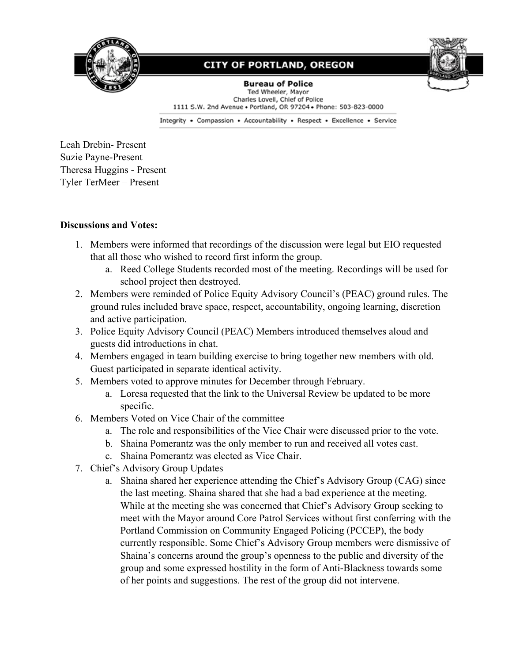

### **CITY OF PORTLAND, OREGON**



**Bureau of Police** Ted Wheeler, Mayor Charles Lovell, Chief of Police 1111 S.W. 2nd Avenue . Portland, OR 97204 . Phone: 503-823-0000

Integrity . Compassion . Accountability . Respect . Excellence . Service

Leah Drebin- Present Suzie Payne-Present Theresa Huggins - Present Tyler TerMeer – Present

### **Discussions and Votes:**

- 1. Members were informed that recordings of the discussion were legal but EIO requested that all those who wished to record first inform the group.
	- a. Reed College Students recorded most of the meeting. Recordings will be used for school project then destroyed.
- 2. Members were reminded of Police Equity Advisory Council's (PEAC) ground rules. The ground rules included brave space, respect, accountability, ongoing learning, discretion and active participation.
- 3. Police Equity Advisory Council (PEAC) Members introduced themselves aloud and guests did introductions in chat.
- 4. Members engaged in team building exercise to bring together new members with old. Guest participated in separate identical activity.
- 5. Members voted to approve minutes for December through February.
	- a. Loresa requested that the link to the Universal Review be updated to be more specific.
- 6. Members Voted on Vice Chair of the committee
	- a. The role and responsibilities of the Vice Chair were discussed prior to the vote.
	- b. Shaina Pomerantz was the only member to run and received all votes cast.
	- c. Shaina Pomerantz was elected as Vice Chair.
- 7. Chief's Advisory Group Updates
	- a. Shaina shared her experience attending the Chief's Advisory Group (CAG) since the last meeting. Shaina shared that she had a bad experience at the meeting. While at the meeting she was concerned that Chief's Advisory Group seeking to meet with the Mayor around Core Patrol Services without first conferring with the Portland Commission on Community Engaged Policing (PCCEP), the body currently responsible. Some Chief's Advisory Group members were dismissive of Shaina's concerns around the group's openness to the public and diversity of the group and some expressed hostility in the form of Anti-Blackness towards some of her points and suggestions. The rest of the group did not intervene.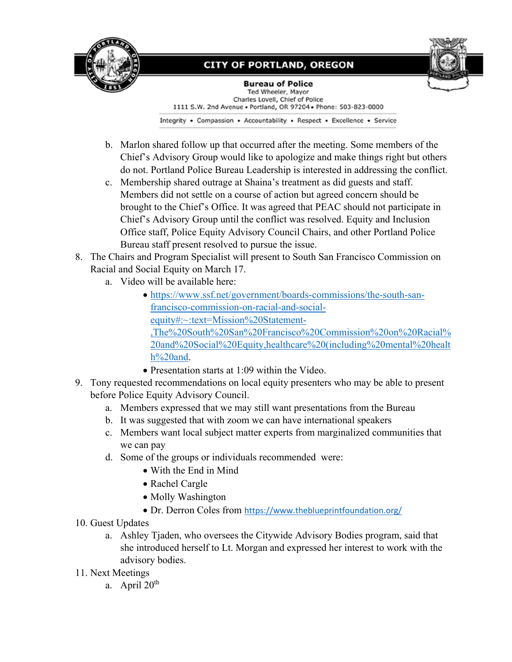

# **CITY OF PORTLAND, OREGON**



**Bureau of Police** Ted Wheeler, Mayor Charles Lovell, Chief of Police 1111 S.W. 2nd Avenue . Portland, OR 97204 . Phone: 503-823-0000

Integrity . Compassion . Accountability . Respect . Excellence . Service

- b. Marlon shared follow up that occurred after the meeting. Some members of the Chief's Advisory Group would like to apologize and make things right but others do not. Portland Police Bureau Leadership is interested in addressing the conflict.
- c. Membership shared outrage at Shaina's treatment as did guests and staff. Members did not settle on a course of action but agreed concern should be brought to the Chief's Office. It was agreed that PEAC should not participate in Chief's Advisory Group until the conflict was resolved. Equity and Inclusion Office staff, Police Equity Advisory Council Chairs, and other Portland Police Bureau staff present resolved to pursue the issue.
- 8. The Chairs and Program Specialist will present to South San Francisco Commission on Racial and Social Equity on March 17.
	- a. Video will be available here:
		- [https://www.ssf.net/government/boards-commissions/the-south-san](https://www.ssf.net/government/boards-commissions/the-south-san-francisco-commission-on-racial-and-social-equity#:%7E:text=Mission%20Statement-,The%20South%20San%20Francisco%20Commission%20on%20Racial%20and%20Social%20Equity,healthcare%20(including%20mental%20health%20and)[francisco-commission-on-racial-and-social](https://www.ssf.net/government/boards-commissions/the-south-san-francisco-commission-on-racial-and-social-equity#:%7E:text=Mission%20Statement-,The%20South%20San%20Francisco%20Commission%20on%20Racial%20and%20Social%20Equity,healthcare%20(including%20mental%20health%20and)[equity#:~:text=Mission%20Statement-](https://www.ssf.net/government/boards-commissions/the-south-san-francisco-commission-on-racial-and-social-equity#:%7E:text=Mission%20Statement-,The%20South%20San%20Francisco%20Commission%20on%20Racial%20and%20Social%20Equity,healthcare%20(including%20mental%20health%20and) [,The%20South%20San%20Francisco%20Commission%20on%20Racial%](https://www.ssf.net/government/boards-commissions/the-south-san-francisco-commission-on-racial-and-social-equity#:%7E:text=Mission%20Statement-,The%20South%20San%20Francisco%20Commission%20on%20Racial%20and%20Social%20Equity,healthcare%20(including%20mental%20health%20and) [20and%20Social%20Equity,healthcare%20\(including%20mental%20healt](https://www.ssf.net/government/boards-commissions/the-south-san-francisco-commission-on-racial-and-social-equity#:%7E:text=Mission%20Statement-,The%20South%20San%20Francisco%20Commission%20on%20Racial%20and%20Social%20Equity,healthcare%20(including%20mental%20health%20and) [h%20and.](https://www.ssf.net/government/boards-commissions/the-south-san-francisco-commission-on-racial-and-social-equity#:%7E:text=Mission%20Statement-,The%20South%20San%20Francisco%20Commission%20on%20Racial%20and%20Social%20Equity,healthcare%20(including%20mental%20health%20and)
		- Presentation starts at 1:09 within the Video.
- 9. Tony requested recommendations on local equity presenters who may be able to present before Police Equity Advisory Council.
	- a. Members expressed that we may still want presentations from the Bureau
	- b. It was suggested that with zoom we can have international speakers
	- c. Members want local subject matter experts from marginalized communities that we can pay
	- d. Some of the groups or individuals recommended were:
		- With the End in Mind
		- Rachel Cargle
		- Molly Washington
		- Dr. Derron Coles from <https://www.theblueprintfoundation.org/>
- 10. Guest Updates
	- a. Ashley Tjaden, who oversees the Citywide Advisory Bodies program, said that she introduced herself to Lt. Morgan and expressed her interest to work with the advisory bodies.
- 11. Next Meetings
	- a. April  $20<sup>th</sup>$